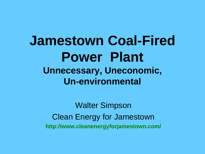#### **Jamestown Coal-Fired Power Plant Unnecessary, Uneconomic, Un-environmental**

Walter Simpson Clean Energy for Jamestown **http://www.cleanenergyforjamestown.com/**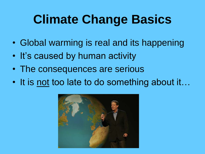## **Climate Change Basics**

- Global warming is real and its happening
- It's caused by human activity
- The consequences are serious
- It is not too late to do something about it...

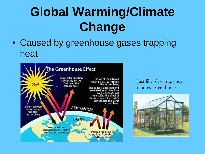## **Global Warming/Climate Change**

• Caused by greenhouse gases trapping heat



Just like glass traps heat in a real greenhouse

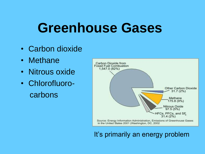## **Greenhouse Gases**

- Carbon dioxide
- Methane
- Nitrous oxide
- Chlorofluorocarbons



#### It's primarily an energy problem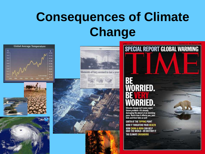## **Consequences of Climate Change**





Moments of fury seemed to last a year.



# **TORRIED.**

**SPECIAL REPORT GLOBAL WARMING** 

Climate change isn't some vague Unimate United The State of the American<br>damaging the planet at an alarming<br>pace. Here's how it affects you, your<br>kids and their kids as well

**EARTH AT THE TIPPING POINT HOW IT THREATENS YOUR HEALTH** HOW CHINA & INDIA CAN HELP<br>Save the World—or Destroy It THE CLIMATE CRUSADERS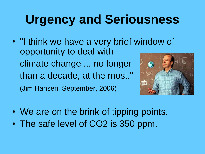## **Urgency and Seriousness**

- "I think we have a very brief window of opportunity to deal with climate change ... no longer than a decade, at the most." (Jim Hansen, September, 2006)
	-
- We are on the brink of tipping points.
- The safe level of CO2 is 350 ppm.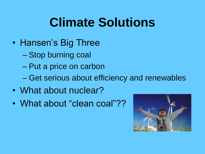## **Climate Solutions**

- Hansen's Big Three
	- Stop burning coal
	- Put a price on carbon
	- Get serious about efficiency and renewables
- What about nuclear?
- What about "clean coal"??

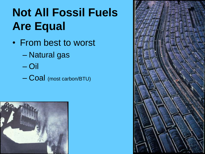#### **Not All Fossil Fuels Are Equal**

- From best to worst
	- Natural gas
	- Oil
	- Coal (most carbon/BTU)



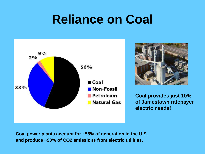#### **Reliance on Coal**





**Coal provides just 10% of Jamestown ratepayer electric needs!**

**Coal power plants account for ~55% of generation in the U.S. and produce ~90% of CO2 emissions from electric utilities.**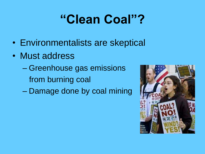## **"Clean Coal"?**

- Environmentalists are skeptical
- Must address
	- Greenhouse gas emissions from burning coal
	- Damage done by coal mining

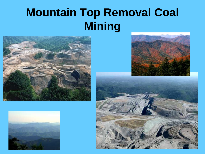#### **Mountain Top Removal Coal Mining**







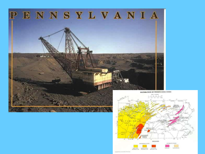

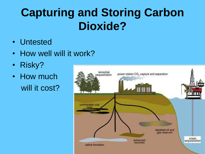#### **Capturing and Storing Carbon Dioxide?**

- Untested
- How well will it work?
- Risky?
- How much will it cost?

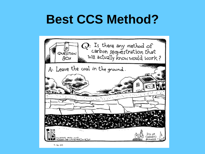#### **Best CCS Method?**

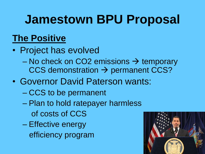#### **Jamestown BPU Proposal**

#### **The Positive**

- Project has evolved
	- No check on CO2 emissions  $\rightarrow$  temporary  $CCS$  demonstration  $\rightarrow$  permanent CCS?
- Governor David Paterson wants:
	- CCS to be permanent
	- Plan to hold ratepayer harmless
		- of costs of CCS
	- Effective energy efficiency program

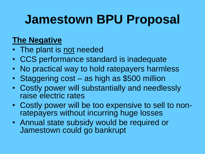#### **Jamestown BPU Proposal**

#### **The Negative**

- The plant is not needed
- CCS performance standard is inadequate
- No practical way to hold ratepayers harmless
- Staggering cost as high as \$500 million
- Costly power will substantially and needlessly raise electric rates
- Costly power will be too expensive to sell to nonratepayers without incurring huge losses
- Annual state subsidy would be required or Jamestown could go bankrupt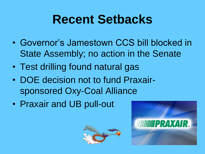#### **Recent Setbacks**

- Governor's Jamestown CCS bill blocked in State Assembly; no action in the Senate
- Test drilling found natural gas
- DOE decision not to fund Praxairsponsored Oxy-Coal Alliance
- Praxair and UB pull-out



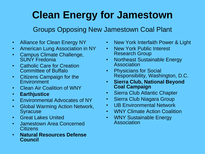#### **Clean Energy for Jamestown**

#### Groups Opposing New Jamestown Coal Plant

- Alliance for Clean Energy NY
- American Lung Association in NY
- Campus Climate Challenge, SUNY Fredonia
- Catholic Care for Creation Committee of Buffalo
- Citizens Campaign for the **Environment**
- Clean Air Coalition of WNY
- **Earthjustice**
- Environmental Advocates of NY
- Global Warming Action Network, Syracuse
- Great Lakes United
- Jamestown Area Concerned **Citizens**
- **Natural Resources Defense Council**
- New York Interfaith Power & Light
- New York Public Interest Research Group
- Northeast Sustainable Energy Association
- Physicians for Social Responsibility, Washington, D.C.
- **Sierra Club, National Beyond Coal Campaign**
- Sierra Club Atlantic Chapter
- Sierra Club Niagara Group
- UB Environmental Network
- WNY Climate Action Coalition
- WNY Sustainable Energy Association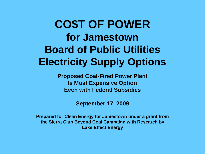#### **CO\$T OF POWER for Jamestown Board of Public Utilities Electricity Supply Options**

**Proposed Coal-Fired Power Plant Is Most Expensive Option Even with Federal Subsidies**

**September 17, 2009**

**Prepared for Clean Energy for Jamestown under a grant from the Sierra Club Beyond Coal Campaign with Research by Lake Effect Energy**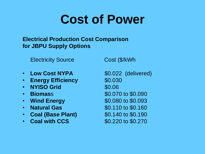#### **Cost of Power**

#### **Electrical Production Cost Comparison for JBPU Supply Options**

Electricity Source Cost (\$/kWh

- Low Cost NYPA **\$0.022** (delivered)
- **Energy Efficiency \$0.030**
- **NYISO Grid 50.06**
- 
- 
- 
- **Coal (Base Plant)** \$0.140 to \$0.190
- **Coal with CCS** \$0.220 to \$0.270

• **Biomass \$0.070 to \$0.090** • **Wind Energy 60.080 to \$0.093** • **Natural Gas** \$0.110 to \$0.160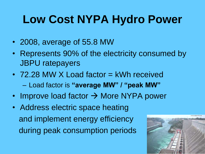#### **Low Cost NYPA Hydro Power**

- 2008, average of 55.8 MW
- Represents 90% of the electricity consumed by JBPU ratepayers
- 72.28 MW X Load factor = kWh received – Load factor is **"average MW" / "peak MW"**
- Improve load factor  $\rightarrow$  More NYPA power
- Address electric space heating and implement energy efficiency during peak consumption periods

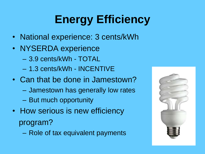## **Energy Efficiency**

- National experience: 3 cents/kWh
- NYSERDA experience
	- 3.9 cents/kWh TOTAL
	- 1.3 cents/kWh INCENTIVE
- Can that be done in Jamestown?
	- Jamestown has generally low rates
	- But much opportunity
- How serious is new efficiency program?
	- Role of tax equivalent payments

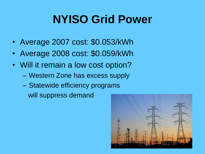#### **NYISO Grid Power**

- Average 2007 cost: \$0.053/kWh
- Average 2008 cost: \$0.059/kWh
- Will it remain a low cost option?
	- Western Zone has excess supply
	- Statewide efficiency programs will suppress demand

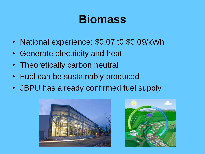#### **Biomass**

- National experience: \$0.07 t0 \$0.09/kWh
- Generate electricity and heat
- Theoretically carbon neutral
- Fuel can be sustainably produced
- JBPU has already confirmed fuel supply



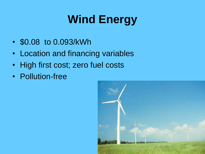## **Wind Energy**

- \$0.08 to 0.093/kWh
- Location and financing variables
- High first cost; zero fuel costs
- Pollution-free

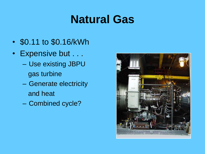#### **Natural Gas**

- \$0.11 to \$0.16/kWh
- Expensive but . . .
	- Use existing JBPU gas turbine
	- Generate electricity and heat
	- Combined cycle?

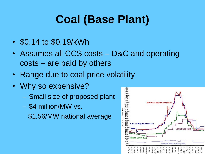#### **Coal (Base Plant)**

- \$0.14 to \$0.19/kWh
- Assumes all CCS costs D&C and operating costs – are paid by others
- Range due to coal price volatility
- Why so expensive?
	- Small size of proposed plant
	- \$4 million/MW vs.

\$1.56/MW national average

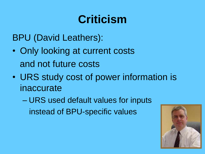#### **Criticism**

BPU (David Leathers):

- Only looking at current costs and not future costs
- URS study cost of power information is inaccurate

– URS used default values for inputs instead of BPU-specific values

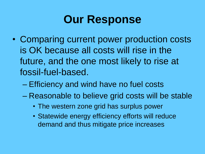#### **Our Response**

- Comparing current power production costs is OK because all costs will rise in the future, and the one most likely to rise at fossil-fuel-based.
	- Efficiency and wind have no fuel costs
	- Reasonable to believe grid costs will be stable
		- The western zone grid has surplus power
		- Statewide energy efficiency efforts will reduce demand and thus mitigate price increases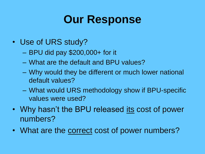#### **Our Response**

- Use of URS study?
	- BPU did pay \$200,000+ for it
	- What are the default and BPU values?
	- Why would they be different or much lower national default values?
	- What would URS methodology show if BPU-specific values were used?
- Why hasn't the BPU released its cost of power numbers?
- What are the correct cost of power numbers?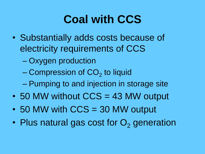#### **Coal with CCS**

- Substantially adds costs because of electricity requirements of CCS
	- Oxygen production
	- Compression of CO $_2$  to liquid
	- Pumping to and injection in storage site
- 50 MW without CCS = 43 MW output
- 50 MW with CCS = 30 MW output
- Plus natural gas cost for  $O<sub>2</sub>$  generation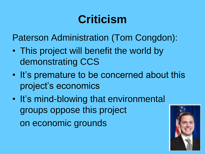#### **Criticism**

Paterson Administration (Tom Congdon):

- This project will benefit the world by demonstrating CCS
- It's premature to be concerned about this project's economics
- It's mind-blowing that environmental groups oppose this project on economic grounds

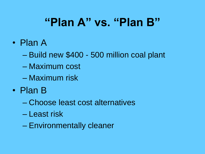#### **"Plan A" vs. "Plan B"**

- Plan A
	- Build new \$400 500 million coal plant
	- Maximum cost
	- Maximum risk
- Plan B
	- Choose least cost alternatives
	- Least risk
	- Environmentally cleaner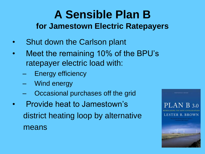#### **A Sensible Plan B for Jamestown Electric Ratepayers**

- Shut down the Carlson plant
- Meet the remaining 10% of the BPU's ratepayer electric load with:
	- **Energy efficiency**
	- Wind energy
	- Occasional purchases off the grid
- Provide heat to Jamestown's district heating loop by alternative means

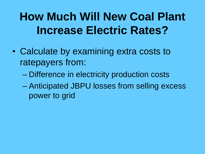#### **How Much Will New Coal Plant Increase Electric Rates?**

- Calculate by examining extra costs to ratepayers from:
	- Difference in electricity production costs
	- Anticipated JBPU losses from selling excess power to grid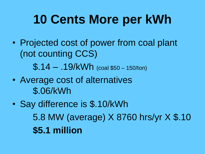## **10 Cents More per kWh**

- Projected cost of power from coal plant (not counting CCS) \$.14 – .19/kWh (coal \$50 – 150/ton)
- Average cost of alternatives \$.06/kWh
- Say difference is \$.10/kWh 5.8 MW (average) X 8760 hrs/yr X \$.10 **\$5.1 million**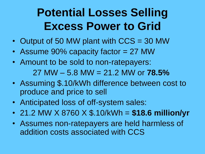#### **Potential Losses Selling Excess Power to Grid**

- Output of 50 MW plant with CCS = 30 MW
- Assume 90% capacity factor = 27 MW
- Amount to be sold to non-ratepayers: 27 MW – 5.8 MW = 21.2 MW or **78.5%**
- Assuming \$.10/kWh difference between cost to produce and price to sell
- Anticipated loss of off-system sales:
- 21.2 MW X 8760 X \$.10/kWh = **\$18.6 million/yr**
- Assumes non-ratepayers are held harmless of addition costs associated with CCS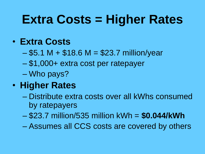## **Extra Costs = Higher Rates**

#### • **Extra Costs**

- $-$  \$5.1 M + \$18.6 M = \$23.7 million/year
- \$1,000+ extra cost per ratepayer
- Who pays?

#### • **Higher Rates**

- Distribute extra costs over all kWhs consumed by ratepayers
- \$23.7 million/535 million kWh = **\$0.044/kWh**
- Assumes all CCS costs are covered by others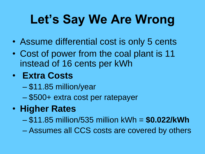## **Let's Say We Are Wrong**

- Assume differential cost is only 5 cents
- Cost of power from the coal plant is 11 instead of 16 cents per kWh

#### • **Extra Costs**

- \$11.85 million/year
- \$500+ extra cost per ratepayer

#### • **Higher Rates**

- \$11.85 million/535 million kWh = **\$0.022/kWh**
- Assumes all CCS costs are covered by others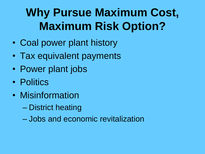#### **Why Pursue Maximum Cost, Maximum Risk Option?**

- Coal power plant history
- Tax equivalent payments
- Power plant jobs
- Politics
- Misinformation
	- District heating
	- Jobs and economic revitalization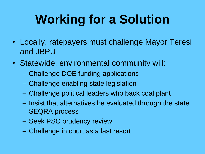## **Working for a Solution**

- Locally, ratepayers must challenge Mayor Teresi and JBPU
- Statewide, environmental community will:
	- Challenge DOE funding applications
	- Challenge enabling state legislation
	- Challenge political leaders who back coal plant
	- Insist that alternatives be evaluated through the state SEQRA process
	- Seek PSC prudency review
	- Challenge in court as a last resort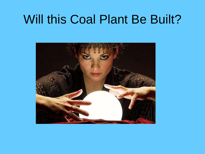#### Will this Coal Plant Be Built?

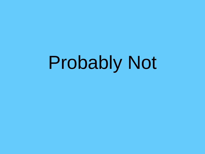## Probably Not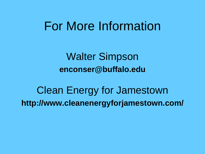#### For More Information

Walter Simpson **enconser@buffalo.edu**

Clean Energy for Jamestown **http://www.cleanenergyforjamestown.com/**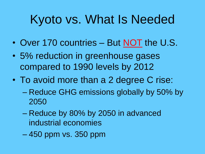## Kyoto vs. What Is Needed

- Over 170 countries But NOT the U.S.
- 5% reduction in greenhouse gases compared to 1990 levels by 2012
- To avoid more than a 2 degree C rise:
	- Reduce GHG emissions globally by 50% by 2050
	- Reduce by 80% by 2050 in advanced industrial economies
	- 450 ppm vs. 350 ppm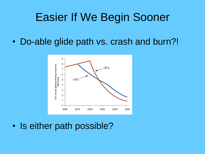#### Easier If We Begin Sooner

• Do-able glide path vs. crash and burn?!



• Is either path possible?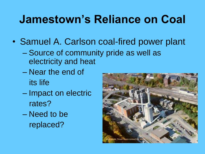#### **Jamestown's Reliance on Coal**

- Samuel A. Carlson coal-fired power plant
	- Source of community pride as well as electricity and heat
	- Near the end of its life
	- Impact on electric rates?
	- Need to be replaced?

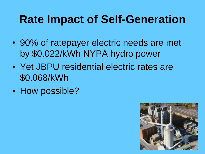#### **Rate Impact of Self-Generation**

- 90% of ratepayer electric needs are met by \$0.022/kWh NYPA hydro power
- Yet JBPU residential electric rates are \$0.068/kWh
- How possible?

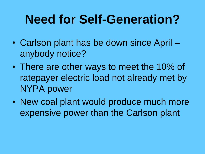#### **Need for Self-Generation?**

- Carlson plant has be down since April anybody notice?
- There are other ways to meet the 10% of ratepayer electric load not already met by NYPA power
- New coal plant would produce much more expensive power than the Carlson plant